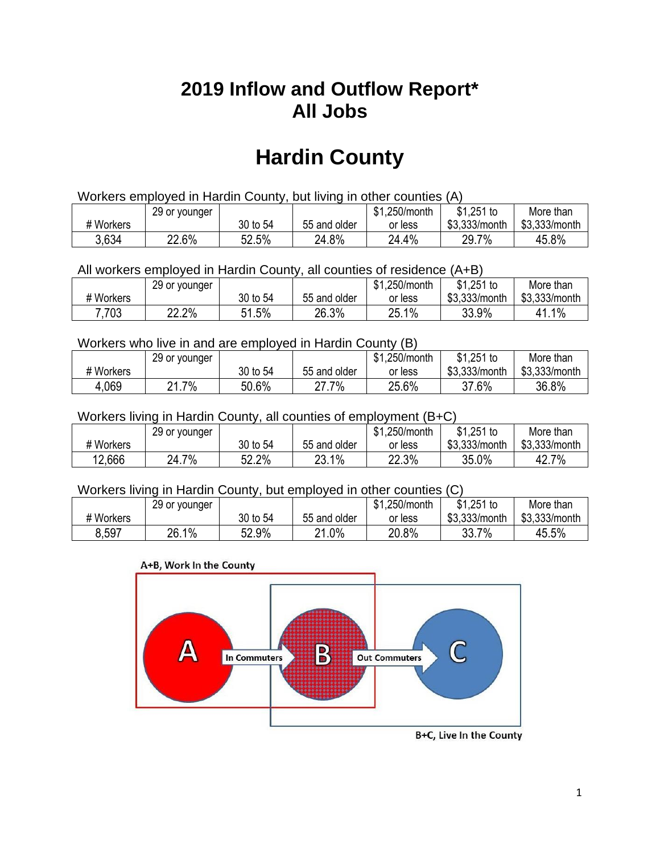## **2019 Inflow and Outflow Report\* All Jobs**

# **Hardin County**

| Workers employed in Hardin County, but living in other counties (A) |                                                           |          |              |         |               |               |  |  |  |
|---------------------------------------------------------------------|-----------------------------------------------------------|----------|--------------|---------|---------------|---------------|--|--|--|
|                                                                     | \$1.251 to<br>\$1.250/month<br>More than<br>29 or younger |          |              |         |               |               |  |  |  |
| # Workers                                                           |                                                           | 30 to 54 | 55 and older | or less | \$3,333/month | \$3,333/month |  |  |  |
| 3,634                                                               | 22.6%                                                     | 52.5%    | 24.8%        | 24.4%   | 29.7%         | 45.8%         |  |  |  |

All workers employed in Hardin County, all counties of residence (A+B)

|           | 29 or younger |              |              | \$1,250/month | $$1,251$ to   | More than     |
|-----------|---------------|--------------|--------------|---------------|---------------|---------------|
| # Workers |               | 30 to 54     | 55 and older | or less       | \$3,333/month | \$3,333/month |
| 7,703     | 22.2%         | 51.5%<br>61. | 26.3%        | 25.1%         | 33.9%         | 1%<br>41.     |

#### Workers who live in and are employed in Hardin County (B)

|           | 29 or younger      |          |              | \$1,250/month | $$1,251$ to   | More than     |
|-----------|--------------------|----------|--------------|---------------|---------------|---------------|
| # Workers |                    | 30 to 54 | 55 and older | or less       | \$3,333/month | \$3,333/month |
| 4,069     | . 7%<br>$^{\circ}$ | 50.6%    | .7%<br>^7    | 25.6%         | 37.6%         | 36.8%         |

#### Workers living in Hardin County, all counties of employment (B+C)

|           | 29 or younger |          |              | \$1,250/month | \$1,251 to    | More than     |
|-----------|---------------|----------|--------------|---------------|---------------|---------------|
| # Workers |               | 30 to 54 | 55 and older | or less       | \$3,333/month | \$3,333/month |
| 12,666    | 7%<br>24.7    | 52.2%    | 23.1%        | 22.3%         | 35.0%         | 42.7%         |

#### Workers living in Hardin County, but employed in other counties (C)

|           | 29 or younger |             |              | \$1<br>.250/month | $$1,251$ to   | More than     |
|-----------|---------------|-------------|--------------|-------------------|---------------|---------------|
| # Workers |               | 30 to 54    | 55 and older | or less           | \$3,333/month | \$3,333/month |
| 8.597     | $1\%$<br>26.  | 52.9%<br>гη | 21.0%        | 20.8%             | 7%<br>33.7    | 45.5%         |

#### A+B, Work In the County